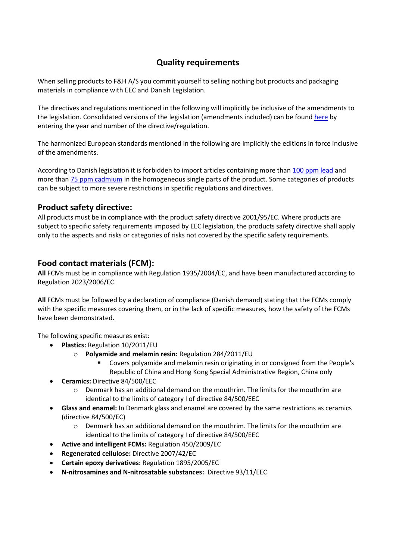# **Quality requirements**

When selling products to F&H A/S you commit yourself to selling nothing but products and packaging materials in compliance with EEC and Danish Legislation.

The directives and regulations mentioned in the following will implicitly be inclusive of the amendments to the legislation. Consolidated versions of the legislation (amendments included) can be foun[d here](http://eur-lex.europa.eu/RECH_consolidated.do?ihmlang=en) by entering the year and number of the directive/regulation.

The harmonized European standards mentioned in the following are implicitly the editions in force inclusive of the amendments.

According to Danish legislation it is forbidden to import articles containing more than [100 ppm lead](https://www.retsinformation.dk/Forms/R0710.aspx?id=126138) and more than **75 ppm cadmium** in the homogeneous single parts of the product. Some categories of products can be subject to more severe restrictions in specific regulations and directives.

## **Product safety directive:**

All products must be in compliance with the product safety directive 2001/95/EC. Where products are subject to specific safety requirements imposed by EEC legislation, the products safety directive shall apply only to the aspects and risks or categories of risks not covered by the specific safety requirements.

# **Food contact materials (FCM):**

**All** FCMs must be in compliance with Regulation 1935/2004/EC, and have been manufactured according to Regulation 2023/2006/EC.

**All** FCMs must be followed by a declaration of compliance (Danish demand) stating that the FCMs comply with the specific measures covering them, or in the lack of specific measures, how the safety of the FCMs have been demonstrated.

The following specific measures exist:

- **Plastics:** Regulation 10/2011/EU
	- o **Polyamide and melamin resin:** Regulation 284/2011/EU
		- Covers polyamide and melamin resin originating in or consigned from the People's Republic of China and Hong Kong Special Administrative Region, China only
- **Ceramics:** Directive 84/500/EEC
	- $\circ$  Denmark has an additional demand on the mouthrim. The limits for the mouthrim are identical to the limits of category I of directive 84/500/EEC
- **Glass and enamel:** In Denmark glass and enamel are covered by the same restrictions as ceramics (directive 84/500/EC)
	- $\circ$  Denmark has an additional demand on the mouthrim. The limits for the mouthrim are identical to the limits of category I of directive 84/500/EEC
- **Active and intelligent FCMs:** Regulation 450/2009/EC
- **Regenerated cellulose:** Directive 2007/42/EC
- **Certain epoxy derivatives:** Regulation 1895/2005/EC
- **N-nitrosamines and N-nitrosatable substances:** Directive 93/11/EEC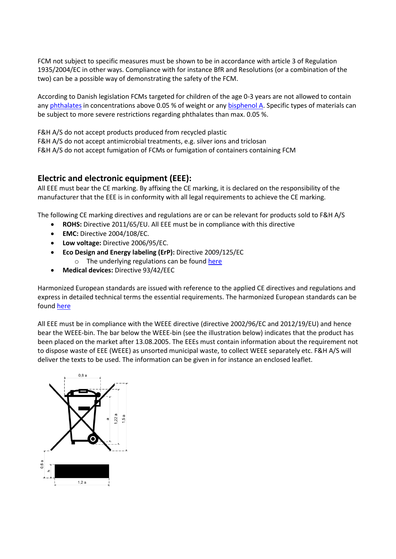FCM not subject to specific measures must be shown to be in accordance with article 3 of Regulation 1935/2004/EC in other ways. Compliance with for instance BfR and Resolutions (or a combination of the two) can be a possible way of demonstrating the safety of the FCM.

According to Danish legislation FCMs targeted for children of the age 0-3 years are not allowed to contain any [phthalates](https://www.retsinformation.dk/Forms/R0710.aspx?id=126137) in concentrations above 0.05 % of weight or any [bisphenol A.](https://www.retsinformation.dk/Forms/R0710.aspx?id=152320) Specific types of materials can be subject to more severe restrictions regarding phthalates than max. 0.05 %.

F&H A/S do not accept products produced from recycled plastic F&H A/S do not accept antimicrobial treatments, e.g. silver ions and triclosan F&H A/S do not accept fumigation of FCMs or fumigation of containers containing FCM

## **Electric and electronic equipment (EEE):**

All EEE must bear the CE marking. By affixing the CE marking, it is declared on the responsibility of the manufacturer that the EEE is in conformity with all legal requirements to achieve the CE marking.

The following CE marking directives and regulations are or can be relevant for products sold to F&H A/S

- **ROHS:** Directive 2011/65/EU. All EEE must be in compliance with this directive
- **EMC:** Directive 2004/108/EC.
- **Low voltage:** Directive 2006/95/EC.
	- **Eco Design and Energy labeling (ErP):** Directive 2009/125/EC
		- $\circ$  The underlying regulations can be found [here](http://ec.europa.eu/enterprise/policies/european-standards/harmonised-standards/ecodesign/index_en.htm)
- **Medical devices:** Directive 93/42/EEC

Harmonized European standards are issued with reference to the applied CE directives and regulations and express in detailed technical terms the essential requirements. The harmonized European standards can be found here

All EEE must be in compliance with the WEEE directive (directive 2002/96/EC and 2012/19/EU) and hence bear the WEEE-bin. The bar below the WEEE-bin (see the illustration below) indicates that the product has been placed on the market after 13.08.2005. The EEEs must contain information about the requirement not to dispose waste of EEE (WEEE) as unsorted municipal waste, to collect WEEE separately etc. F&H A/S will deliver the texts to be used. The information can be given in for instance an enclosed leaflet.

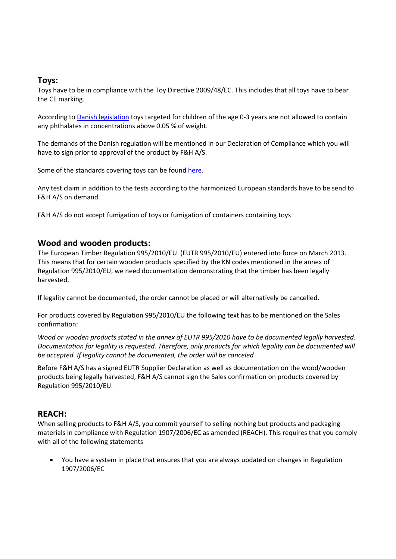## **Toys:**

Toys have to be in compliance with the Toy Directive 2009/48/EC. This includes that all toys have to bear the CE marking.

According t[o Danish legislation](https://www.retsinformation.dk/Forms/R0710.aspx?id=126137) toys targeted for children of the age 0-3 years are not allowed to contain any phthalates in concentrations above 0.05 % of weight.

The demands of the Danish regulation will be mentioned in our Declaration of Compliance which you will have to sign prior to approval of the product by F&H A/S.

Some of the standards covering toys can be foun[d here.](http://ec.europa.eu/enterprise/policies/european-standards/harmonised-standards/toys/index_en.htm)

Any test claim in addition to the tests according to the harmonized European standards have to be send to F&H A/S on demand.

F&H A/S do not accept fumigation of toys or fumigation of containers containing toys

## **Wood and wooden products:**

The European Timber Regulation 995/2010/EU (EUTR 995/2010/EU) entered into force on March 2013. This means that for certain wooden products specified by the KN codes mentioned in the annex of Regulation 995/2010/EU, we need documentation demonstrating that the timber has been legally harvested.

If legality cannot be documented, the order cannot be placed or will alternatively be cancelled.

For products covered by Regulation 995/2010/EU the following text has to be mentioned on the Sales confirmation:

*Wood or wooden products stated in the annex of EUTR 995/2010 have to be documented legally harvested. Documentation for legality is requested. Therefore, only products for which legality can be documented will be accepted. If legality cannot be documented, the order will be canceled* 

Before F&H A/S has a signed EUTR Supplier Declaration as well as documentation on the wood/wooden products being legally harvested, F&H A/S cannot sign the Sales confirmation on products covered by Regulation 995/2010/EU.

#### **REACH:**

When selling products to F&H A/S, you commit yourself to selling nothing but products and packaging materials in compliance with Regulation 1907/2006/EC as amended (REACH). This requires that you comply with all of the following statements

 You have a system in place that ensures that you are always updated on changes in Regulation 1907/2006/EC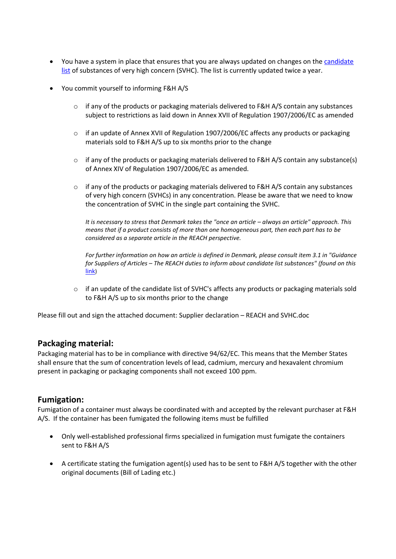- You have a system in place that ensures that you are always updated on changes on the candidate [list](http://echa.europa.eu/web/guest/candidate-list-table) of substances of very high concern (SVHC). The list is currently updated twice a year.
- You commit yourself to informing F&H A/S
	- $\circ$  if any of the products or packaging materials delivered to F&H A/S contain any substances subject to restrictions as laid down in Annex XVII of Regulation 1907/2006/EC as amended
	- o if an update of Annex XVII of Regulation 1907/2006/EC affects any products or packaging materials sold to F&H A/S up to six months prior to the change
	- $\circ$  if any of the products or packaging materials delivered to F&H A/S contain any substance(s) of Annex XIV of Regulation 1907/2006/EC as amended.
	- o if any of the products or packaging materials delivered to F&H A/S contain any substances of very high concern (SVHCs) in any concentration. Please be aware that we need to know the concentration of SVHC in the single part containing the SVHC.

*It is necessary to stress that Denmark takes the "once an article – always an article" approach. This means that if a product consists of more than one homogeneous part, then each part has to be considered as a separate article in the REACH perspective.*

*For further information on how an article is defined in Denmark, please consult item 3.1 in "Guidance for Suppliers of Articles – The REACH duties to inform about candidate list substances" (found on this* [link](http://www.kemi.se/en/Content/News/Guidance-for-suppliers-of-articles/))

o if an update of the candidate list of SVHC's affects any products or packaging materials sold to F&H A/S up to six months prior to the change

Please fill out and sign the attached document: Supplier declaration – REACH and SVHC.doc

#### **Packaging material:**

Packaging material has to be in compliance with directive 94/62/EC. This means that the Member States shall ensure that the sum of concentration levels of lead, cadmium, mercury and hexavalent chromium present in packaging or packaging components shall not exceed 100 ppm.

#### **Fumigation:**

Fumigation of a container must always be coordinated with and accepted by the relevant purchaser at F&H A/S. If the container has been fumigated the following items must be fulfilled

- Only well-established professional firms specialized in fumigation must fumigate the containers sent to F&H A/S
- A certificate stating the fumigation agent(s) used has to be sent to F&H A/S together with the other original documents (Bill of Lading etc.)